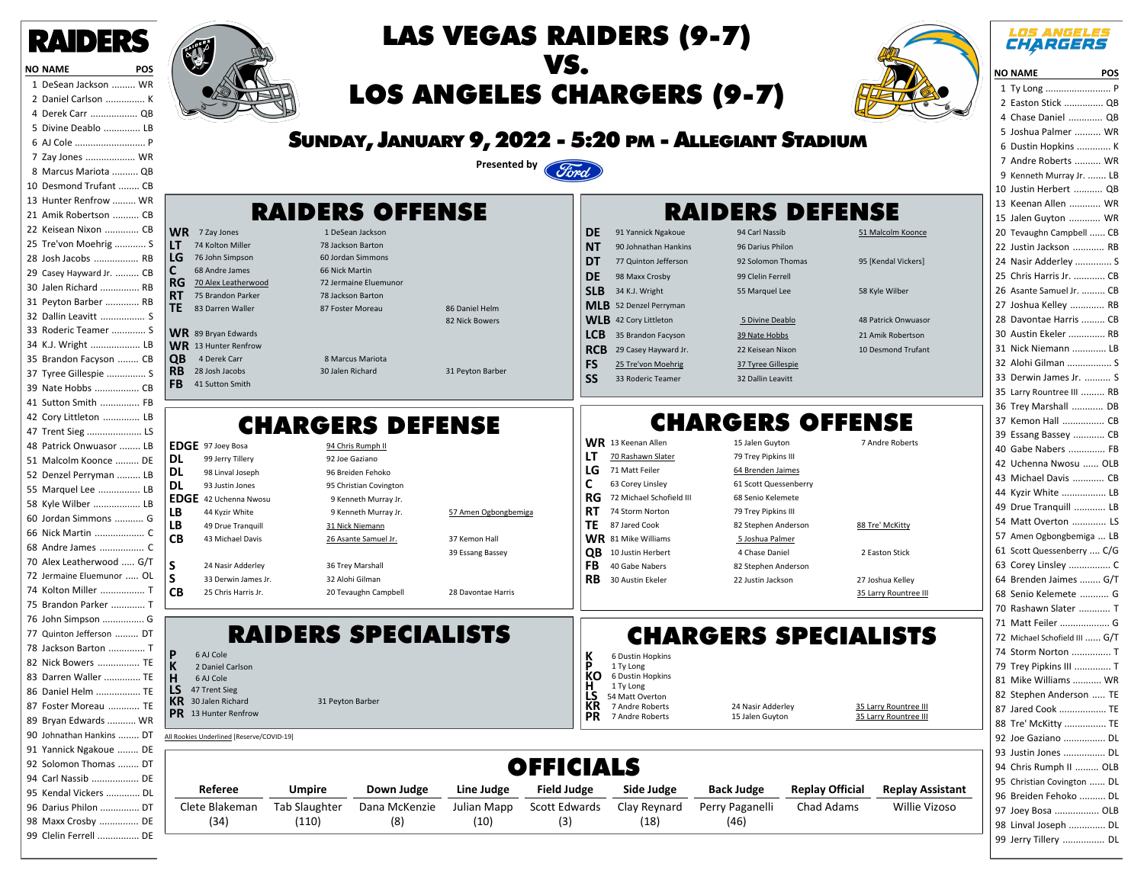



**P** 6 AJ Cole **K** 2 Daniel Carlson<br> **H** 6 AJ Cole **H** 6 AJ Cole<br>**LS** 47 Trent Si **LS** 47 Trent Sieg<br>**KR** 30 Jalen Richa

**PR** 13 Hunter Renfrow

Clete Blakeman (34)

All Rookies Underlined [Reserve/COVID-19]

**KR 30 Jalen Richard 31 Peyton Barbers** 

Tab Slaughter (110)



# LAS VEGAS RAIDERS (9-7) VS. LOS ANGELES CHARGERS (9-7)



#### **LOS ANGELES CHARGERS**

| <b>NO NAME</b><br><b>Example 19 POS</b> |
|-----------------------------------------|
| Ty Long  P<br>1                         |
| Easton Stick  QB<br>2                   |
| 4<br>Chase Daniel  QB                   |
| Joshua Palmer  WR<br>5                  |
| 6<br>Dustin Hopkins  K                  |
| 7<br>Andre Roberts  WR                  |
| 9<br>Kenneth Murray Jr.  LB             |
| 10<br>Justin Herbert  QB                |
| 13<br>Keenan Allen  WR                  |
| 15<br>Jalen Guyton  WR                  |
| 20<br>Tevaughn Campbell  CB             |
| 22<br>Justin Jackson  RB                |
| 24<br>Nasir Adderley  S                 |
| 25<br>Chris Harris Jr.  CB              |
| 26<br>Asante Samuel Jr.  CB             |
| 27<br>Joshua Kelley  RB                 |
| 28<br>Davontae Harris  CB               |
| 30<br>Austin Ekeler  RB                 |
| 31<br>Nick Niemann  LB                  |
| 32<br>Alohi Gilman  S                   |
| 33<br>Derwin James Jr.  S               |
| 35<br>Larry Rountree III  RB            |
| 36<br>Trev Marshall  DB                 |
| 37<br>Kemon Hall  CB                    |
| 39<br>Essang Bassey  CB                 |
| 40<br>Gabe Nabers  FB                   |
| 42<br>Uchenna Nwosu  OLB                |
| 43<br>Michael Davis  CB                 |
| Kyzir White  LB<br>44                   |
| 49<br>Drue Tranquill  LB                |
| 54<br>Matt Overton  LS                  |
| 57<br>Amen Ogbongbemiga  LB             |
| Scott Quessenberry  C/G<br>61           |
| 63                                      |
| 64<br>Brenden Jaimes  G/T               |
| Senio Kelemete  G<br>68                 |
| 70 Rashawn Slater<br>T                  |
| Matt Feiler  G<br>71                    |
| Michael Schofield III  G/T<br>72        |
| 74<br>Storm Norton  T                   |
| 79<br>Trey Pipkins III  T               |
| 81<br>Mike Williams  WR                 |
| 82<br>Stephen Anderson  TE              |
| 87<br>Jared Cook  TE                    |
| 88<br>Tre' McKitty  TE                  |
| 92<br>Joe Gaziano  DL                   |
| 93<br>Justin Jones<br>DL                |
| 94<br>Chris Rumph II  OLB               |
| 95<br>Christian Covington  DL           |
| 96<br>Breiden Fehoko  DL                |
| 97<br>Joey Bosa  OLB                    |
| 98<br>Linval Joseph  DL                 |
| 99<br>DL<br>Jerry Tillery               |

### SUNDAY, JANUARY 9, 2022 - 5:20 PM - ALLEGIANT STADIUM



### RAIDERS OFFENSE

RAIDERS SPECIALISTS

Dana McKenzie (8)

Julian Mapp (10)

**WR** 7 Zay Jones 1 DeSean Jackson **LT** 74 Kolton Miller 78 Jackson Barton<br> **LG** 76 John Simpson 60 Jordan Simmons **176 John Simpson 60 Jordan Simmons 60 Jordan Simmons 68 Andre James 68 Andre Jordan Simmons 68 Andre Jordan Si**<br>1990 68 Andre James 68 Nick Martin **C** 68 Andre James 66 Nick Martin<br>**RG** 70 Alex Leatherwood 72 Jermaine Eluemunoi **RG 70 Alex Leatherwood** 72 Jermaine Eluen<br> **RT** 75 Brandon Parker 78 Jackson Barton **75 Brandon Parker TE** 83 Darren Waller 87 Foster Moreau 88 Daniel Helm 82 Nick Bowers **WR** 89 Bryan Edwards **WR** 13 Hunter Renfrow<br>**QB** 4 Derek Carr **QB** 4 Derek Carr 8 Marcus Mariota<br> **RB** 28 Josh Jacobs 30 Jalen Richard **RB** 28 Josh Jacobs 30 Jalen Richard 31 Peyton Barber FB 41 Sutton Smith CHARGERS DEFENSE **EDGE** 97 Joey Bosa 94 Chris Rumph II **DL** 99 Jerry Tillery 92 Joe Gaziano **DL** 98 Linval Joseph 96 Breiden Fehoko **DL** 93 Justin Jones 95 Christian Covington **EDGE** 42 Uchenna Nwosu 9 Kenneth Murray Jr. **LB** 44 Kyzir White 9 Kenneth Murray Jr. 57 Amen Ogbongbemiga<br> **LB** 49 Drue Tranquill 31 Nick Niemann **LB** 49 Drue Tranquill 31 Nick Niemann **CB** 43 Michael Davis 26 Asante Samuel Jr. 37 Kemon Hall 39 Essang Bassey<br>
36 Trey Marshall<br>
36 Trey Marshall<br>
36 Trey Marshall **S** 24 Nasir Adderley 36 Trey Marshall<br> **S** 33 Derwin James Jr. 32 Alohi Gilman **S** 33 Derwin James Jr. 32 Alohi Gilman **CB** 25 Chris Harris Jr. 20 Tevaughn Campbell 28 Davontae Harris **DE** 91 Yannick Ngakoue 94 Carl Nassib 51 Malcolm Koonce **NT** 90 Johnathan Hankins 96 Darius Philon **DT** 77 Quinton Jefferson 92 Solomon Thomas 95 [Kendal Vickers] **DE** 98 Maxx Crosby 99 Clelin Ferrell **SLB** 34 K.J. Wright 55 Marquel Lee 58 Kyle Wilber **MLB** 52 Denzel Perryman **WLB** 42 Cory Littleton 5 Divine Deablo 48 Patrick Onwuasor **LCB** 35 Brandon Facyson 39 Nate Hobbs 21 Amik Robertson **RCB** 29 Casey Hayward Jr. 22 Keisean Nixon 10 Desmond Trufant **FS** 25 Tre'von Moehrig 37 Tyree Gillespie **SS** 33 Roderic Teamer 32 Dallin Leavitt CHARGERS OFFENSE WR 13 Keenan Allen 15 Jalen Guyton 7 Andre Roberts **LT** 70 Rashawn Slater 79 Trey Pipkins III LG 71 Matt Feiler 64 Brenden Jaimes **C** 63 Corey Linsley 61 Scott Quessenberry **RG** 72 Michael Schofield III 68 Senio Kelemete<br>**RT** 74 Storm Norton 79 Trev Pipkins III **RT** 74 Storm Norton 79 Trey Pipkins III **TE** 87 Jared Cook 82 Stephen Anderson 88 Tre' McKitty<br> **WR** 81 Mike Williams 5 Joshua Palmer **WR** 81 Mike Williams 5 Joshua Palmer<br> **OB** 10 Justin Herbert 4 Chase Daniel **QB** 10 Justin Herbert 4 Chase Daniel 2 Easton Stick<br> **FB** 40 Gabe Nabers 82 Stephen Anderson **82 Stephen Anderson RB** 30 Austin Ekeler 22 Justin Jackson 27 Joshua Kelley 35 Larry Rountree III

## CHARGERS SPECIALISTS

Chad Adams

Willie Vizoso

Perry Paganelli (46)

RAIDERS DEFENSE

| Referee<br><b>Umpire</b><br>Down Judge<br>Line Judge                                                  | <b>OFFICIALS</b><br><b>Field Judge</b>       | Side Judge                                                                                          | <b>Back Judge</b>                    | <b>Replay Official</b> | <b>Replay Assistant</b>                        |
|-------------------------------------------------------------------------------------------------------|----------------------------------------------|-----------------------------------------------------------------------------------------------------|--------------------------------------|------------------------|------------------------------------------------|
| Underlined [Reserve/COVID-19]                                                                         |                                              |                                                                                                     |                                      |                        |                                                |
| Daniel Carlson<br>AJ Cole<br>Trent Sieg<br>Jalen Richard<br>31 Peyton Barber<br><b>Hunter Renfrow</b> | D<br>КC<br>н<br>LS<br><b>KR</b><br><b>PR</b> | 1 Ty Long<br>6 Dustin Hopkins<br>1 Ty Long<br>54 Matt Overton<br>7 Andre Roberts<br>7 Andre Roberts | 24 Nasir Adderley<br>15 Jalen Guyton |                        | 35 Larry Rountree III<br>35 Larry Rountree III |

Scott Edwards (3)

**K** 6 Dustin Hopkins

Clay Reynard (18)